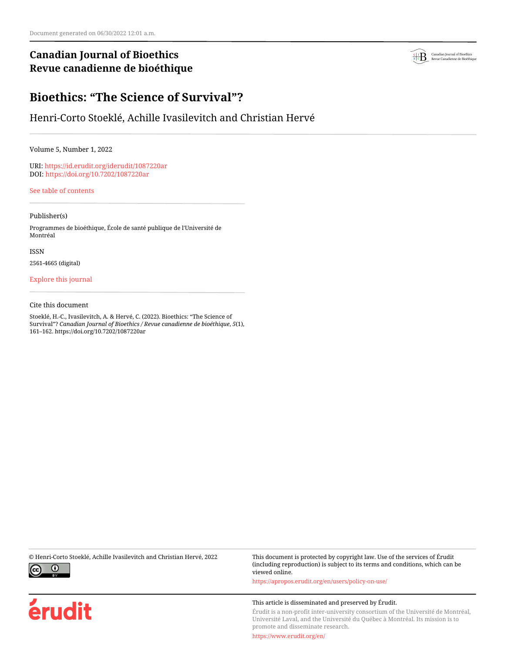## **Canadian Journal of Bioethics Revue canadienne de bioéthique**



# **Bioethics: "The Science of Survival"?**

## Henri-Corto Stoeklé, Achille Ivasilevitch and Christian Hervé

Volume 5, Number 1, 2022

URI:<https://id.erudit.org/iderudit/1087220ar> DOI:<https://doi.org/10.7202/1087220ar>

[See table of contents](https://www.erudit.org/en/journals/bioethics/2022-v5-n1-bioethics06848/)

### Publisher(s)

Programmes de bioéthique, École de santé publique de l'Université de Montréal

ISSN

2561-4665 (digital)

## [Explore this journal](https://www.erudit.org/en/journals/bioethics/)

### Cite this document

Stoeklé, H.-C., Ivasilevitch, A. & Hervé, C. (2022). Bioethics: "The Science of Survival"? *Canadian Journal of Bioethics / Revue canadienne de bioéthique*, *5*(1), 161–162. https://doi.org/10.7202/1087220ar



érudit

© Henri-Corto Stoeklé, Achille Ivasilevitch and Christian Hervé, 2022 This document is protected by copyright law. Use of the services of Érudit (including reproduction) is subject to its terms and conditions, which can be viewed online.

<https://apropos.erudit.org/en/users/policy-on-use/>

#### This article is disseminated and preserved by Érudit.

Érudit is a non-profit inter-university consortium of the Université de Montréal, Université Laval, and the Université du Québec à Montréal. Its mission is to promote and disseminate research.

<https://www.erudit.org/en/>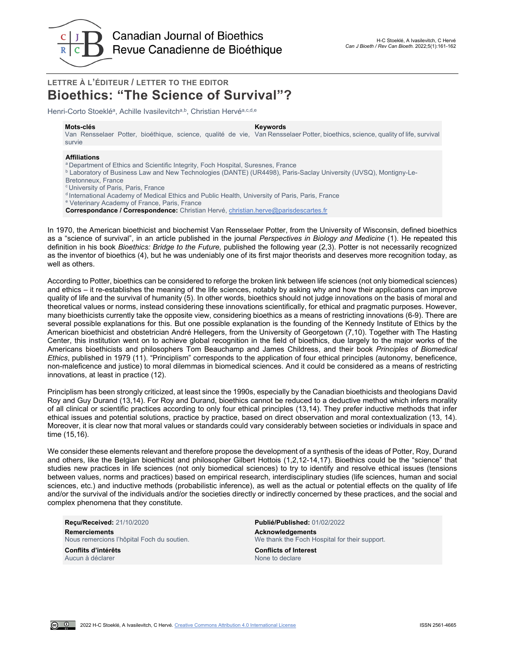

## **LETTRE À L'ÉDITEUR / LETTER TO THE EDITOR Bioethics: "The Science of Survival"?**

Henri-Corto Stoeklé<sup>a</sup>, Achille Ivasilevitch<sup>a,b</sup>, Christian Hervé<sup>a,c,d,e</sup>

**Mots-clés Keywords** Van Rensselaer Potter, bioéthique, science, qualité de vie, Van Rensselaer Potter, bioethics, science, quality of life, survival survie

#### **Affiliations**

- <sup>a</sup> Department of Ethics and Scientific Integrity, Foch Hospital, Suresnes, France
- b Laboratory of Business Law and New Technologies (DANTE) (UR4498), Paris-Saclay University (UVSQ), Montigny-Le-

Bretonneux, France

c University of Paris, Paris, France

d International Academy of Medical Ethics and Public Health, University of Paris, Paris, France

- <sup>e</sup> Veterinary Academy of France, Paris, France
- **Correspondance / Correspondence:** Christian Hervé, [christian.herve@parisdescartes.fr](mailto:christian.herve@parisdescartes.fr)

In 1970, the American bioethicist and biochemist Van Rensselaer Potter, from the University of Wisconsin, defined bioethics as a "science of survival", in an article published in the journal *Perspectives in Biology and Medicine* (1). He repeated this definition in his book *Bioethics: Bridge to the Future,* published the following year (2,3). Potter is not necessarily recognized as the inventor of bioethics (4), but he was undeniably one of its first major theorists and deserves more recognition today, as well as others.

According to Potter, bioethics can be considered to reforge the broken link between life sciences (not only biomedical sciences) and ethics – it re-establishes the meaning of the life sciences, notably by asking why and how their applications can improve quality of life and the survival of humanity (5). In other words, bioethics should not judge innovations on the basis of moral and theoretical values or norms, instead considering these innovations scientifically, for ethical and pragmatic purposes. However, many bioethicists currently take the opposite view, considering bioethics as a means of restricting innovations (6-9). There are several possible explanations for this. But one possible explanation is the founding of the Kennedy Institute of Ethics by the American bioethicist and obstetrician André Hellegers, from the University of Georgetown (7,10). Together with The Hasting Center, this institution went on to achieve global recognition in the field of bioethics, due largely to the major works of the Americans bioethicists and philosophers Tom Beauchamp and James Childress, and their book *Principles of Biomedical Ethics*, published in 1979 (11). "Principlism" corresponds to the application of four ethical principles (autonomy, beneficence, non-maleficence and justice) to moral dilemmas in biomedical sciences. And it could be considered as a means of restricting innovations, at least in practice (12).

Principlism has been strongly criticized, at least since the 1990s, especially by the Canadian bioethicists and theologians David Roy and Guy Durand (13,14). For Roy and Durand, bioethics cannot be reduced to a deductive method which infers morality of all clinical or scientific practices according to only four ethical principles (13,14). They prefer inductive methods that infer ethical issues and potential solutions, practice by practice, based on direct observation and moral contextualization (13, 14). Moreover, it is clear now that moral values or standards could vary considerably between societies or individuals in space and time (15,16).

We consider these elements relevant and therefore propose the development of a synthesis of the ideas of Potter, Roy, Durand and others, like the Belgian bioethicist and philosopher Gilbert Hottois (1,2,12-14,17). Bioethics could be the "science" that studies new practices in life sciences (not only biomedical sciences) to try to identify and resolve ethical issues (tensions between values, norms and practices) based on empirical research, interdisciplinary studies (life sciences, human and social sciences, etc.) and inductive methods (probabilistic inference), as well as the actual or potential effects on the quality of life and/or the survival of the individuals and/or the societies directly or indirectly concerned by these practices, and the social and complex phenomena that they constitute.

**Reçu/Received:** 21/10/2020 **Publié/Published:** 01/02/2022 **Remerciements**<br> **Nous remercions l'hôpital Foch du soutien.**<br> **Acknowledgements**<br> **Acknowledgements** 

**Conflits d'intérêts Conflicts of Interest** Aucun à déclarer

 $\omega$   $\omega$ 

We thank the Foch Hospital for their support.